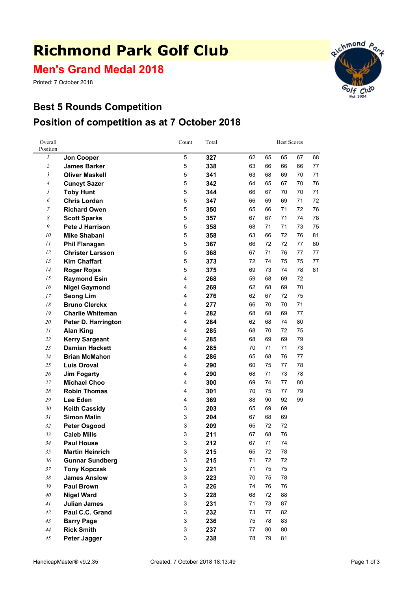# **Richmond Park Golf Club**

**Men's Grand Medal 2018**

Printed: 7 October 2018





| Overall<br>Position      |                         | Count                     | Total |    |    | <b>Best Scores</b> |    |    |
|--------------------------|-------------------------|---------------------------|-------|----|----|--------------------|----|----|
| 1                        | Jon Cooper              | 5                         | 327   | 62 | 65 | 65                 | 67 | 68 |
| $\overline{\mathbf{c}}$  | <b>James Barker</b>     | $\,$ 5 $\,$               | 338   | 63 | 66 | 66                 | 66 | 77 |
| 3                        | <b>Oliver Maskell</b>   | 5                         | 341   | 63 | 68 | 69                 | 70 | 71 |
| $\overline{\mathcal{A}}$ | <b>Cuneyt Sazer</b>     | 5                         | 342   | 64 | 65 | 67                 | 70 | 76 |
| 5                        | <b>Toby Hunt</b>        | 5                         | 344   | 66 | 67 | 70                 | 70 | 71 |
| 6                        | <b>Chris Lordan</b>     | 5                         | 347   | 66 | 69 | 69                 | 71 | 72 |
| $\boldsymbol{7}$         | <b>Richard Owen</b>     | 5                         | 350   | 65 | 66 | 71                 | 72 | 76 |
| 8                        | <b>Scott Sparks</b>     | $\,$ 5 $\,$               | 357   | 67 | 67 | 71                 | 74 | 78 |
| 9                        | <b>Pete J Harrison</b>  | $\,$ 5 $\,$               | 358   | 68 | 71 | 71                 | 73 | 75 |
| 10                       | <b>Mike Shabani</b>     | $\,$ 5 $\,$               | 358   | 63 | 66 | 72                 | 76 | 81 |
| 11                       | <b>Phil Flanagan</b>    | 5                         | 367   | 66 | 72 | 72                 | 77 | 80 |
| 12                       | <b>Christer Larsson</b> | 5                         | 368   | 67 | 71 | 76                 | 77 | 77 |
| 13                       | <b>Kim Chaffart</b>     | $\,$ 5 $\,$               | 373   | 72 | 74 | 75                 | 75 | 77 |
| 14                       | <b>Roger Rojas</b>      | 5                         | 375   | 69 | 73 | 74                 | 78 | 81 |
| 15                       | <b>Raymond Esin</b>     | $\overline{\mathbf{4}}$   | 268   | 59 | 68 | 69                 | 72 |    |
| 16                       | <b>Nigel Gaymond</b>    | 4                         | 269   | 62 | 68 | 69                 | 70 |    |
| 17                       | <b>Seong Lim</b>        | 4                         | 276   | 62 | 67 | 72                 | 75 |    |
| 18                       | <b>Bruno Clerckx</b>    | 4                         | 277   | 66 | 70 | 70                 | 71 |    |
| 19                       | <b>Charlie Whiteman</b> | 4                         | 282   | 68 | 68 | 69                 | 77 |    |
| 20                       | Peter D. Harrington     | 4                         | 284   | 62 | 68 | 74                 | 80 |    |
| 21                       | <b>Alan King</b>        | 4                         | 285   | 68 | 70 | 72                 | 75 |    |
| 22                       | <b>Kerry Sargeant</b>   | 4                         | 285   | 68 | 69 | 69                 | 79 |    |
| 23                       | <b>Damian Hackett</b>   | 4                         | 285   | 70 | 71 | 71                 | 73 |    |
| 24                       | <b>Brian McMahon</b>    | 4                         | 286   | 65 | 68 | 76                 | 77 |    |
| 25                       | <b>Luis Oroval</b>      | 4                         | 290   | 60 | 75 | 77                 | 78 |    |
| 26                       | <b>Jim Fogarty</b>      | 4                         | 290   | 68 | 71 | 73                 | 78 |    |
| 27                       | <b>Michael Choo</b>     | 4                         | 300   | 69 | 74 | 77                 | 80 |    |
| 28                       | <b>Robin Thomas</b>     | 4                         | 301   | 70 | 75 | 77                 | 79 |    |
| 29                       | Lee Eden                | 4                         | 369   | 88 | 90 | 92                 | 99 |    |
| 30                       | <b>Keith Cassidy</b>    | 3                         | 203   | 65 | 69 | 69                 |    |    |
| 31                       | <b>Simon Malin</b>      | 3                         | 204   | 67 | 68 | 69                 |    |    |
| 32                       | <b>Peter Osgood</b>     | 3                         | 209   | 65 | 72 | 72                 |    |    |
| 33                       | <b>Caleb Mills</b>      | 3                         | 211   | 67 | 68 | 76                 |    |    |
| 34                       | <b>Paul House</b>       | 3                         | 212   | 67 | 71 | 74                 |    |    |
| 35                       | <b>Martin Heinrich</b>  | 3                         | 215   | 65 | 72 | 78                 |    |    |
| 36                       | <b>Gunnar Sundberg</b>  | 3                         | 215   | 71 | 72 | 72                 |    |    |
| $37\,$                   | <b>Tony Kopczak</b>     | 3                         | 221   | 71 | 75 | 75                 |    |    |
| 38                       | <b>James Anslow</b>     | $\ensuremath{\mathsf{3}}$ | 223   | 70 | 75 | 78                 |    |    |
| 39                       | <b>Paul Brown</b>       | $\ensuremath{\mathsf{3}}$ | 226   | 74 | 76 | 76                 |    |    |
| 40                       | <b>Nigel Ward</b>       | 3                         | 228   | 68 | 72 | 88                 |    |    |
| 41                       | <b>Julian James</b>     | 3                         | 231   | 71 | 73 | 87                 |    |    |
| $42\,$                   | Paul C.C. Grand         | 3                         | 232   | 73 | 77 | 82                 |    |    |
| 43                       | <b>Barry Page</b>       | 3                         | 236   | 75 | 78 | 83                 |    |    |
| 44                       | <b>Rick Smith</b>       | 3                         | 237   | 77 | 80 | 80                 |    |    |
| 45                       | Peter Jagger            | 3                         | 238   | 78 | 79 | 81                 |    |    |
|                          |                         |                           |       |    |    |                    |    |    |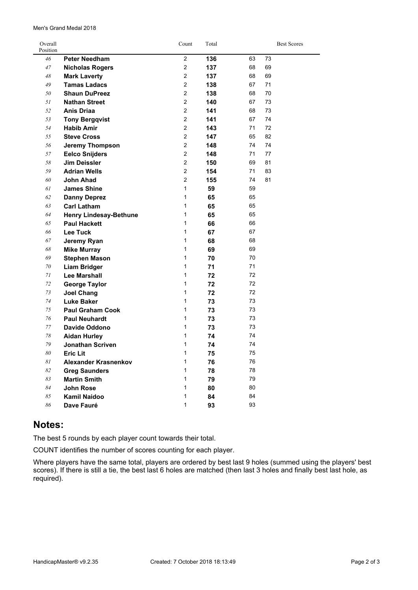| Overall<br>Position |                                       | Count          | Total    |          | <b>Best Scores</b> |
|---------------------|---------------------------------------|----------------|----------|----------|--------------------|
| 46                  | <b>Peter Needham</b>                  | $\overline{2}$ | 136      | 63       | 73                 |
| 47                  | <b>Nicholas Rogers</b>                | $\overline{2}$ | 137      | 68       | 69                 |
| 48                  | <b>Mark Laverty</b>                   | $\overline{2}$ | 137      | 68       | 69                 |
| 49                  | <b>Tamas Ladacs</b>                   | $\overline{2}$ | 138      | 67       | 71                 |
| 50                  | <b>Shaun DuPreez</b>                  | $\overline{2}$ | 138      | 68       | 70                 |
| 51                  | <b>Nathan Street</b>                  | $\overline{2}$ | 140      | 67       | 73                 |
| 52                  | <b>Anis Driaa</b>                     | $\overline{2}$ | 141      | 68       | 73                 |
| 53                  | <b>Tony Bergqvist</b>                 | $\overline{2}$ | 141      | 67       | 74                 |
| 54                  | <b>Habib Amir</b>                     | $\overline{2}$ | 143      | 71       | 72                 |
| 55                  | <b>Steve Cross</b>                    | $\overline{2}$ | 147      | 65       | 82                 |
| 56                  | <b>Jeremy Thompson</b>                | $\overline{2}$ | 148      | 74       | 74                 |
| 57                  | <b>Eelco Snijders</b>                 | $\overline{2}$ | 148      | 71       | 77                 |
| 58                  | <b>Jim Deissler</b>                   | $\overline{2}$ | 150      | 69       | 81                 |
| 59                  | <b>Adrian Wells</b>                   | $\overline{2}$ | 154      | 71       | 83                 |
| 60                  | <b>John Ahad</b>                      | $\overline{2}$ | 155      | 74       | 81                 |
| 61                  | <b>James Shine</b>                    | 1              | 59       | 59       |                    |
| 62                  | <b>Danny Deprez</b>                   | 1              | 65       | 65       |                    |
| 63                  | <b>Carl Latham</b>                    | 1              | 65       | 65       |                    |
| 64                  | <b>Henry Lindesay-Bethune</b>         | 1              | 65       | 65       |                    |
| 65                  | <b>Paul Hackett</b>                   | 1              | 66       | 66       |                    |
| 66                  | <b>Lee Tuck</b>                       | 1              | 67       | 67       |                    |
| 67                  | Jeremy Ryan                           | 1              | 68       | 68       |                    |
| 68                  | <b>Mike Murray</b>                    | 1              | 69       | 69       |                    |
| 69                  | <b>Stephen Mason</b>                  | 1              | 70       | 70       |                    |
| 70                  | <b>Liam Bridger</b>                   | $\mathbf{1}$   | 71       | 71       |                    |
| 71                  | <b>Lee Marshall</b>                   | 1              | 72       | 72       |                    |
| 72                  | <b>George Taylor</b>                  | 1              | 72       | 72       |                    |
| 73                  | <b>Joel Chang</b>                     | 1<br>1         | 72       | 72<br>73 |                    |
| 74<br>75            | <b>Luke Baker</b>                     | 1              | 73       | 73       |                    |
| 76                  | <b>Paul Graham Cook</b>               | 1              | 73       | 73       |                    |
| 77                  | <b>Paul Neuhardt</b><br>Davide Oddono | 1              | 73<br>73 | 73       |                    |
| 78                  | <b>Aidan Hurley</b>                   | 1              | 74       | 74       |                    |
| 79                  | <b>Jonathan Scriven</b>               | 1              | 74       | 74       |                    |
| 80                  | <b>Eric Lit</b>                       | 1              | 75       | 75       |                    |
| 81                  | Alexander Krasnenkov                  | 1              | 76       | 76       |                    |
| 82                  | <b>Greg Saunders</b>                  | 1              | 78       | 78       |                    |
| 83                  | <b>Martin Smith</b>                   | 1              | 79       | 79       |                    |
| 84                  | <b>John Rose</b>                      | 1              | 80       | 80       |                    |
| 85                  | Kamil Naidoo                          | 1              | 84       | 84       |                    |
| 86                  | Dave Fauré                            | 1              | 93       | 93       |                    |
|                     |                                       |                |          |          |                    |

#### **Notes:**

The best 5 rounds by each player count towards their total.

COUNT identifies the number of scores counting for each player.

Where players have the same total, players are ordered by best last 9 holes (summed using the players' best scores). If there is still <sup>a</sup> tie, the best last 6 holes are matched (then last 3 holes and finally best last hole, as required).